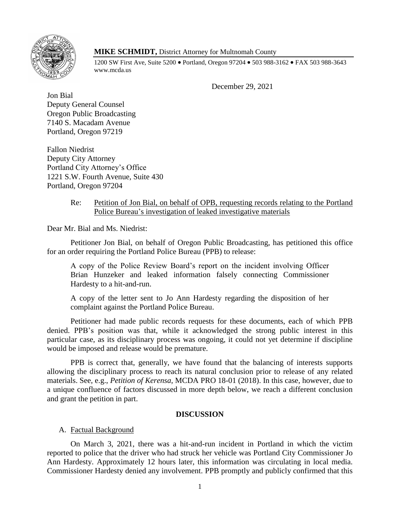

# **MIKE SCHMIDT,** District Attorney for Multnomah County

1200 SW First Ave, Suite 5200 • Portland, Oregon 97204 • 503 988-3162 • FAX 503 988-3643 www.mcda.us

December 29, 2021

Jon Bial Deputy General Counsel Oregon Public Broadcasting 7140 S. Macadam Avenue Portland, Oregon 97219

Fallon Niedrist Deputy City Attorney Portland City Attorney's Office 1221 S.W. Fourth Avenue, Suite 430 Portland, Oregon 97204

## Re: Petition of Jon Bial, on behalf of OPB, requesting records relating to the Portland Police Bureau's investigation of leaked investigative materials

Dear Mr. Bial and Ms. Niedrist:

Petitioner Jon Bial, on behalf of Oregon Public Broadcasting, has petitioned this office for an order requiring the Portland Police Bureau (PPB) to release:

A copy of the Police Review Board's report on the incident involving Officer Brian Hunzeker and leaked information falsely connecting Commissioner Hardesty to a hit-and-run.

A copy of the letter sent to Jo Ann Hardesty regarding the disposition of her complaint against the Portland Police Bureau.

Petitioner had made public records requests for these documents, each of which PPB denied. PPB's position was that, while it acknowledged the strong public interest in this particular case, as its disciplinary process was ongoing, it could not yet determine if discipline would be imposed and release would be premature.

PPB is correct that, generally, we have found that the balancing of interests supports allowing the disciplinary process to reach its natural conclusion prior to release of any related materials. See, e.g., *Petition of Kerensa*, MCDA PRO 18-01 (2018). In this case, however, due to a unique confluence of factors discussed in more depth below, we reach a different conclusion and grant the petition in part.

## **DISCUSSION**

## A. Factual Background

On March 3, 2021, there was a hit-and-run incident in Portland in which the victim reported to police that the driver who had struck her vehicle was Portland City Commissioner Jo Ann Hardesty. Approximately 12 hours later, this information was circulating in local media. Commissioner Hardesty denied any involvement. PPB promptly and publicly confirmed that this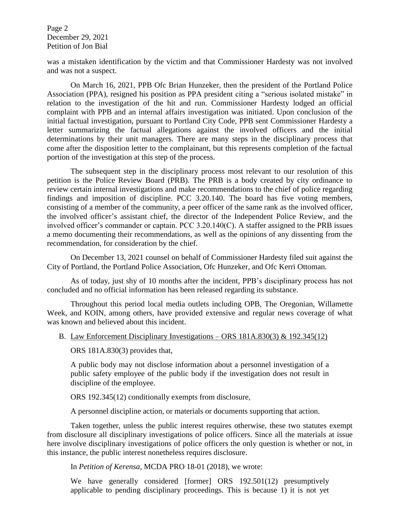Page 2 December 29, 2021 Petition of Jon Bial

was a mistaken identification by the victim and that Commissioner Hardesty was not involved and was not a suspect.

On March 16, 2021, PPB Ofc Brian Hunzeker, then the president of the Portland Police Association (PPA), resigned his position as PPA president citing a "serious isolated mistake" in relation to the investigation of the hit and run. Commissioner Hardesty lodged an official complaint with PPB and an internal affairs investigation was initiated. Upon conclusion of the initial factual investigation, pursuant to Portland City Code, PPB sent Commissioner Hardesty a letter summarizing the factual allegations against the involved officers and the initial determinations by their unit managers. There are many steps in the disciplinary process that come after the disposition letter to the complainant, but this represents completion of the factual portion of the investigation at this step of the process.

The subsequent step in the disciplinary process most relevant to our resolution of this petition is the Police Review Board (PRB). The PRB is a body created by city ordinance to review certain internal investigations and make recommendations to the chief of police regarding findings and imposition of discipline. PCC 3.20.140. The board has five voting members, consisting of a member of the community, a peer officer of the same rank as the involved officer, the involved officer's assistant chief, the director of the Independent Police Review, and the involved officer's commander or captain. PCC 3.20.140(C). A staffer assigned to the PRB issues a memo documenting their recommendations, as well as the opinions of any dissenting from the recommendation, for consideration by the chief.

On December 13, 2021 counsel on behalf of Commissioner Hardesty filed suit against the City of Portland, the Portland Police Association, Ofc Hunzeker, and Ofc Kerri Ottoman.

As of today, just shy of 10 months after the incident, PPB's disciplinary process has not concluded and no official information has been released regarding its substance.

Throughout this period local media outlets including OPB, The Oregonian, Willamette Week, and KOIN, among others, have provided extensive and regular news coverage of what was known and believed about this incident.

#### B. Law Enforcement Disciplinary Investigations – ORS 181A.830(3) & 192.345(12)

ORS 181A.830(3) provides that,

A public body may not disclose information about a personnel investigation of a public safety employee of the public body if the investigation does not result in discipline of the employee.

ORS 192.345(12) conditionally exempts from disclosure,

A personnel discipline action, or materials or documents supporting that action.

Taken together, unless the public interest requires otherwise, these two statutes exempt from disclosure all disciplinary investigations of police officers. Since all the materials at issue here involve disciplinary investigations of police officers the only question is whether or not, in this instance, the public interest nonetheless requires disclosure.

In *Petition of Kerensa*, MCDA PRO 18-01 (2018), we wrote:

We have generally considered [former] ORS 192.501(12) presumptively applicable to pending disciplinary proceedings. This is because 1) it is not yet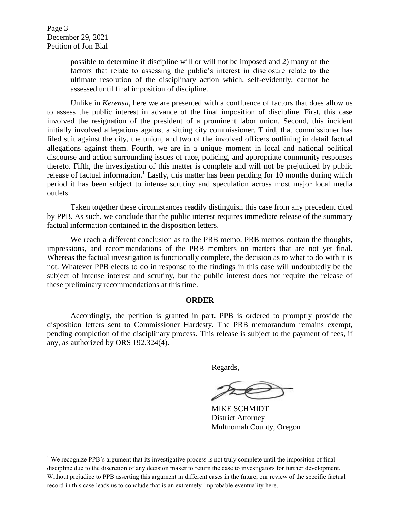$\overline{\phantom{a}}$ 

possible to determine if discipline will or will not be imposed and 2) many of the factors that relate to assessing the public's interest in disclosure relate to the ultimate resolution of the disciplinary action which, self-evidently, cannot be assessed until final imposition of discipline.

Unlike in *Kerensa,* here we are presented with a confluence of factors that does allow us to assess the public interest in advance of the final imposition of discipline. First, this case involved the resignation of the president of a prominent labor union. Second, this incident initially involved allegations against a sitting city commissioner. Third, that commissioner has filed suit against the city, the union, and two of the involved officers outlining in detail factual allegations against them. Fourth, we are in a unique moment in local and national political discourse and action surrounding issues of race, policing, and appropriate community responses thereto. Fifth, the investigation of this matter is complete and will not be prejudiced by public release of factual information.<sup>1</sup> Lastly, this matter has been pending for 10 months during which period it has been subject to intense scrutiny and speculation across most major local media outlets.

Taken together these circumstances readily distinguish this case from any precedent cited by PPB. As such, we conclude that the public interest requires immediate release of the summary factual information contained in the disposition letters.

We reach a different conclusion as to the PRB memo. PRB memos contain the thoughts, impressions, and recommendations of the PRB members on matters that are not yet final. Whereas the factual investigation is functionally complete, the decision as to what to do with it is not. Whatever PPB elects to do in response to the findings in this case will undoubtedly be the subject of intense interest and scrutiny, but the public interest does not require the release of these preliminary recommendations at this time.

#### **ORDER**

Accordingly, the petition is granted in part. PPB is ordered to promptly provide the disposition letters sent to Commissioner Hardesty. The PRB memorandum remains exempt, pending completion of the disciplinary process. This release is subject to the payment of fees, if any, as authorized by ORS 192.324(4).

Regards,

MIKE SCHMIDT District Attorney Multnomah County, Oregon

<sup>&</sup>lt;sup>1</sup> We recognize PPB's argument that its investigative process is not truly complete until the imposition of final discipline due to the discretion of any decision maker to return the case to investigators for further development. Without prejudice to PPB asserting this argument in different cases in the future, our review of the specific factual record in this case leads us to conclude that is an extremely improbable eventuality here.